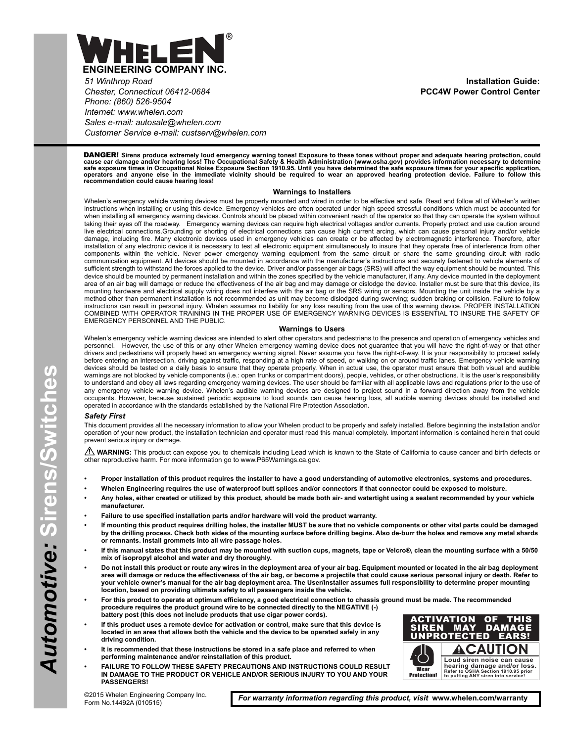

*51 Winthrop Road Chester, Connecticut 06412-0684 Phone: (860) 526-9504 Internet: www.whelen.com Sales e-mail: autosale@whelen.com Customer Service e-mail: custserv@whelen.com*

**Installation Guide: PCC4W Power Control Center**

DANGER! **Sirens produce extremely loud emergency warning tones! Exposure to these tones without proper and adequate hearing protection, could** cause ear damage and/or hearing loss! The Occupational Safety & Health Administration (www.osha.gov) provides information necessary to determine<br>safe exposure times in Occupational Noise Exposure Section 1910.95. Until you

#### **Warnings to Installers**

Whelen's emergency vehicle warning devices must be properly mounted and wired in order to be effective and safe. Read and follow all of Whelen's written instructions when installing or using this device. Emergency vehicles are often operated under high speed stressful conditions which must be accounted for when installing all emergency warning devices. Controls should be placed within convenient reach of the operator so that they can operate the system without taking their eyes off the roadway. Emergency warning devices can require high electrical voltages and/or currents. Properly protect and use caution around live electrical connections.Grounding or shorting of electrical connections can cause high current arcing, which can cause personal injury and/or vehicle damage, including fire. Many electronic devices used in emergency vehicles can create or be affected by electromagnetic interference. Therefore, after installation of any electronic device it is necessary to test all electronic equipment simultaneously to insure that they operate free of interference from other components within the vehicle. Never power emergency warning equipment from the same circuit or share the same grounding circuit with radio communication equipment. All devices should be mounted in accordance with the manufacturer's instructions and securely fastened to vehicle elements of sufficient strength to withstand the forces applied to the device. Driver and/or passenger air bags (SRS) will affect the way equipment should be mounted. This device should be mounted by permanent installation and within the zones specified by the vehicle manufacturer, if any. Any device mounted in the deployment area of an air bag will damage or reduce the effectiveness of the air bag and may damage or dislodge the device. Installer must be sure that this device, its mounting hardware and electrical supply wiring does not interfere with the air bag or the SRS wiring or sensors. Mounting the unit inside the vehicle by a method other than permanent installation is not recommended as unit may become dislodged during swerving; sudden braking or collision. Failure to follow instructions can result in personal injury. Whelen assumes no liability for any loss resulting from the use of this warning device. PROPER INSTALLATION COMBINED WITH OPERATOR TRAINING IN THE PROPER USE OF EMERGENCY WARNING DEVICES IS ESSENTIAL TO INSURE THE SAFETY OF EMERGENCY PERSONNEL AND THE PUBLIC.

#### **Warnings to Users**

Whelen's emergency vehicle warning devices are intended to alert other operators and pedestrians to the presence and operation of emergency vehicles and<br>personnel. However, the use of this or any other Whelen emergency war However, the use of this or any other Whelen emergency warning device does not guarantee that you will have the right-of-way or that other drivers and pedestrians will properly heed an emergency warning signal. Never assume you have the right-of-way. It is your responsibility to proceed safely before entering an intersection, driving against traffic, responding at a high rate of speed, or walking on or around traffic lanes. Emergency vehicle warning devices should be tested on a daily basis to ensure that they operate properly. When in actual use, the operator must ensure that both visual and audible warnings are not blocked by vehicle components (i.e.: open trunks or compartment doors), people, vehicles, or other obstructions. It is the user's responsibility to understand and obey all laws regarding emergency warning devices. The user should be familiar with all applicable laws and regulations prior to the use of any emergency vehicle warning device. Whelen's audible warning devices are designed to project sound in a forward direction away from the vehicle occupants. However, because sustained periodic exposure to loud sounds can cause hearing loss, all audible warning devices should be installed and operated in accordance with the standards established by the National Fire Protection Association.

#### *Safety First*

This document provides all the necessary information to allow your Whelen product to be properly and safely installed. Before beginning the installation and/or operation of your new product, the installation technician and operator must read this manual completely. Important information is contained herein that could prevent serious injury or damage.

WARNING: This product can expose you to chemicals including Lead which is known to the State of California to cause cancer and birth defects or other reproductive harm. For more information go to www.P65Warnings.ca.gov.

- **Proper installation of this product requires the installer to have a good understanding of automotive electronics, systems and procedures.**
- **Whelen Engineering requires the use of waterproof butt splices and/or connectors if that connector could be exposed to moisture.**
- **Any holes, either created or utilized by this product, should be made both air- and watertight using a sealant recommended by your vehicle manufacturer.**
- **Failure to use specified installation parts and/or hardware will void the product warranty.**
- **If mounting this product requires drilling holes, the installer MUST be sure that no vehicle components or other vital parts could be damaged by the drilling process. Check both sides of the mounting surface before drilling begins. Also de-burr the holes and remove any metal shards or remnants. Install grommets into all wire passage holes.**
- **If this manual states that this product may be mounted with suction cups, magnets, tape or Velcro®, clean the mounting surface with a 50/50 mix of isopropyl alcohol and water and dry thoroughly.**
- **Do not install this product or route any wires in the deployment area of your air bag. Equipment mounted or located in the air bag deployment area will damage or reduce the effectiveness of the air bag, or become a projectile that could cause serious personal injury or death. Refer to your vehicle owner's manual for the air bag deployment area. The User/Installer assumes full responsibility to determine proper mounting location, based on providing ultimate safety to all passengers inside the vehicle.**
- **For this product to operate at optimum efficiency, a good electrical connection to chassis ground must be made. The recommended procedure requires the product ground wire to be connected directly to the NEGATIVE (-) battery post (this does not include products that use cigar power cords).**
- **If this product uses a remote device for activation or control, make sure that this device is located in an area that allows both the vehicle and the device to be operated safely in any driving condition.**
- **It is recommended that these instructions be stored in a safe place and referred to when performing maintenance and/or reinstallation of this product.**
- **FAILURE TO FOLLOW THESE SAFETY PRECAUTIONS AND INSTRUCTIONS COULD RESULT IN DAMAGE TO THE PRODUCT OR VEHICLE AND/OR SERIOUS INJURY TO YOU AND YOUR PASSENGERS!**



©2015 Whelen Engineering Company Inc. Form No.14492A (010515)

*For warranty information regarding this product, visit* **www.whelen.com/warranty**